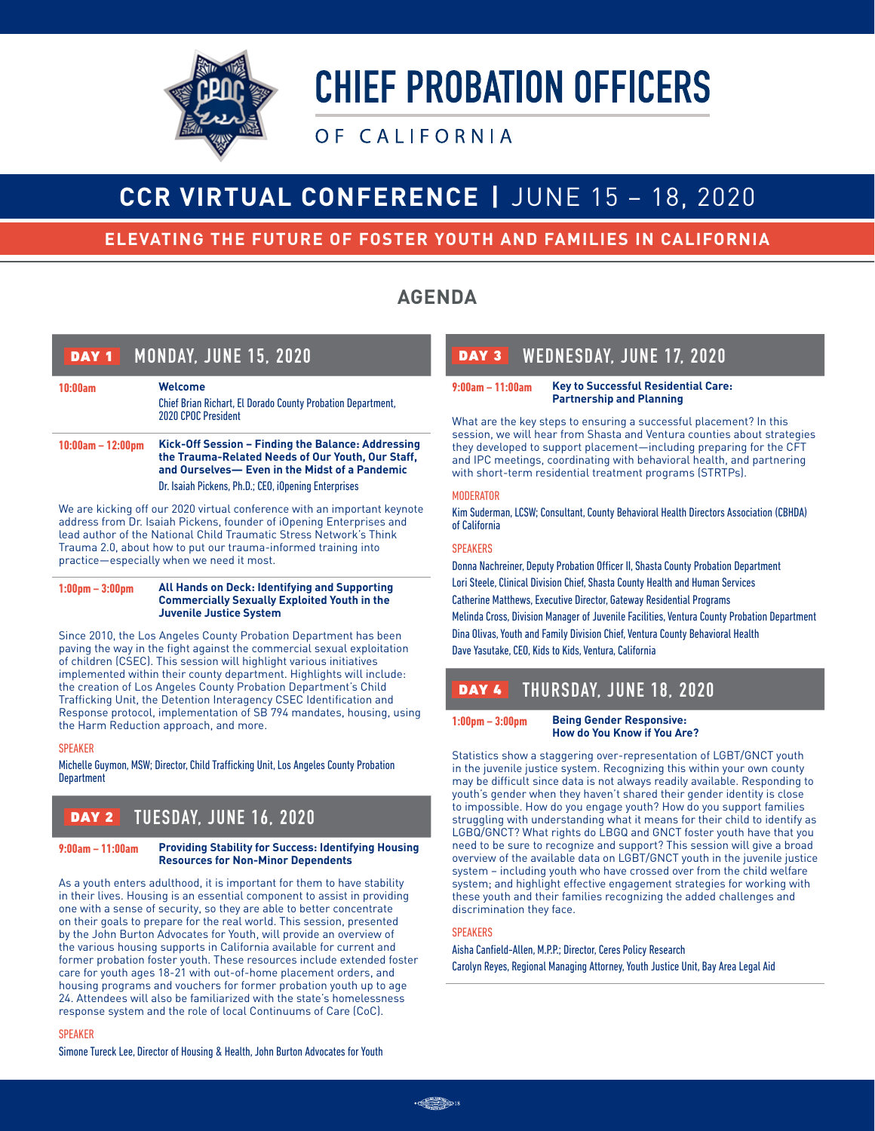

# OF CALIFORNIA

# **CCR VIRTUAL CONFERENCE |** JUNE 15 – 18, 2020

# **ELEVATING THE FUTURE OF FOSTER YOUTH AND FAMILIES IN CALIFORNIA**

# **AGENDA**

| <b>MONDAY, JUNE 15, 2020</b><br>DAY <sub>1</sub> |                                                                                                                                                                                                                   |
|--------------------------------------------------|-------------------------------------------------------------------------------------------------------------------------------------------------------------------------------------------------------------------|
| 10:00am                                          | <b>Welcome</b><br><b>Chief Brian Richart, El Dorado County Probation Department,</b><br>2020 CPOC President                                                                                                       |
| $10:00am - 12:00pm$                              | Kick-Off Session – Finding the Balance: Addressing<br>the Trauma-Related Needs of Our Youth, Our Staff,<br>and Ourselves- Even in the Midst of a Pandemic<br>Dr. Isaiah Pickens, Ph.D.; CEO, iOpening Enterprises |

We are kicking off our 2020 virtual conference with an important keynote address from Dr. Isaiah Pickens, founder of iOpening Enterprises and lead author of the National Child Traumatic Stress Network's Think Trauma 2.0, about how to put our trauma-informed training into practice—especially when we need it most.

**1:00pm – 3:00pm All Hands on Deck: Identifying and Supporting Commercially Sexually Exploited Youth in the Juvenile Justice System**

Since 2010, the Los Angeles County Probation Department has been paving the way in the fight against the commercial sexual exploitation of children (CSEC). This session will highlight various initiatives implemented within their county department. Highlights will include: the creation of Los Angeles County Probation Department's Child Trafficking Unit, the Detention Interagency CSEC Identification and Response protocol, implementation of SB 794 mandates, housing, using the Harm Reduction approach, and more.

#### SPEAKER

Michelle Guymon, MSW; Director, Child Trafficking Unit, Los Angeles County Probation Department

# DAY 2 **TUESDAY, JUNE 16, 2020**

#### **9:00am – 11:00am Providing Stability for Success: Identifying Housing Resources for Non-Minor Dependents**

As a youth enters adulthood, it is important for them to have stability in their lives. Housing is an essential component to assist in providing one with a sense of security, so they are able to better concentrate on their goals to prepare for the real world. This session, presented by the John Burton Advocates for Youth, will provide an overview of the various housing supports in California available for current and former probation foster youth. These resources include extended foster care for youth ages 18-21 with out-of-home placement orders, and housing programs and vouchers for former probation youth up to age 24. Attendees will also be familiarized with the state's homelessness response system and the role of local Continuums of Care (CoC).

#### SPEAKER

Simone Tureck Lee, Director of Housing & Health, John Burton Advocates for Youth

# DAY 3 **WEDNESDAY, JUNE 17, 2020**

#### **9:00am – 11:00am Key to Successful Residential Care: Partnership and Planning**

What are the key steps to ensuring a successful placement? In this session, we will hear from Shasta and Ventura counties about strategies they developed to support placement—including preparing for the CFT and IPC meetings, coordinating with behavioral health, and partnering with short-term residential treatment programs (STRTPs).

#### **MODERATOR**

Kim Suderman, LCSW; Consultant, County Behavioral Health Directors Association (CBHDA) of California

#### **SPEAKERS**

Donna Nachreiner, Deputy Probation Officer II, Shasta County Probation Department Lori Steele, Clinical Division Chief, Shasta County Health and Human Services Catherine Matthews, Executive Director, Gateway Residential Programs Melinda Cross, Division Manager of Juvenile Facilities, Ventura County Probation Department Dina Olivas, Youth and Family Division Chief, Ventura County Behavioral Health Dave Yasutake, CEO, Kids to Kids, Ventura, California

# DAY 4 **THURSDAY, JUNE 18, 2020**

**1:00pm – 3:00pm Being Gender Responsive: How do You Know if You Are?** 

Statistics show a staggering over-representation of LGBT/GNCT youth in the juvenile justice system. Recognizing this within your own county may be difficult since data is not always readily available. Responding to youth's gender when they haven't shared their gender identity is close to impossible. How do you engage youth? How do you support families struggling with understanding what it means for their child to identify as LGBQ/GNCT? What rights do LBGQ and GNCT foster youth have that you need to be sure to recognize and support? This session will give a broad overview of the available data on LGBT/GNCT youth in the juvenile justice system – including youth who have crossed over from the child welfare system; and highlight effective engagement strategies for working with these youth and their families recognizing the added challenges and discrimination they face.

#### **SPEAKERS**

Aisha Canfield-Allen, M.P.P.; Director, Ceres Policy Research Carolyn Reyes, Regional Managing Attorney, Youth Justice Unit, Bay Area Legal Aid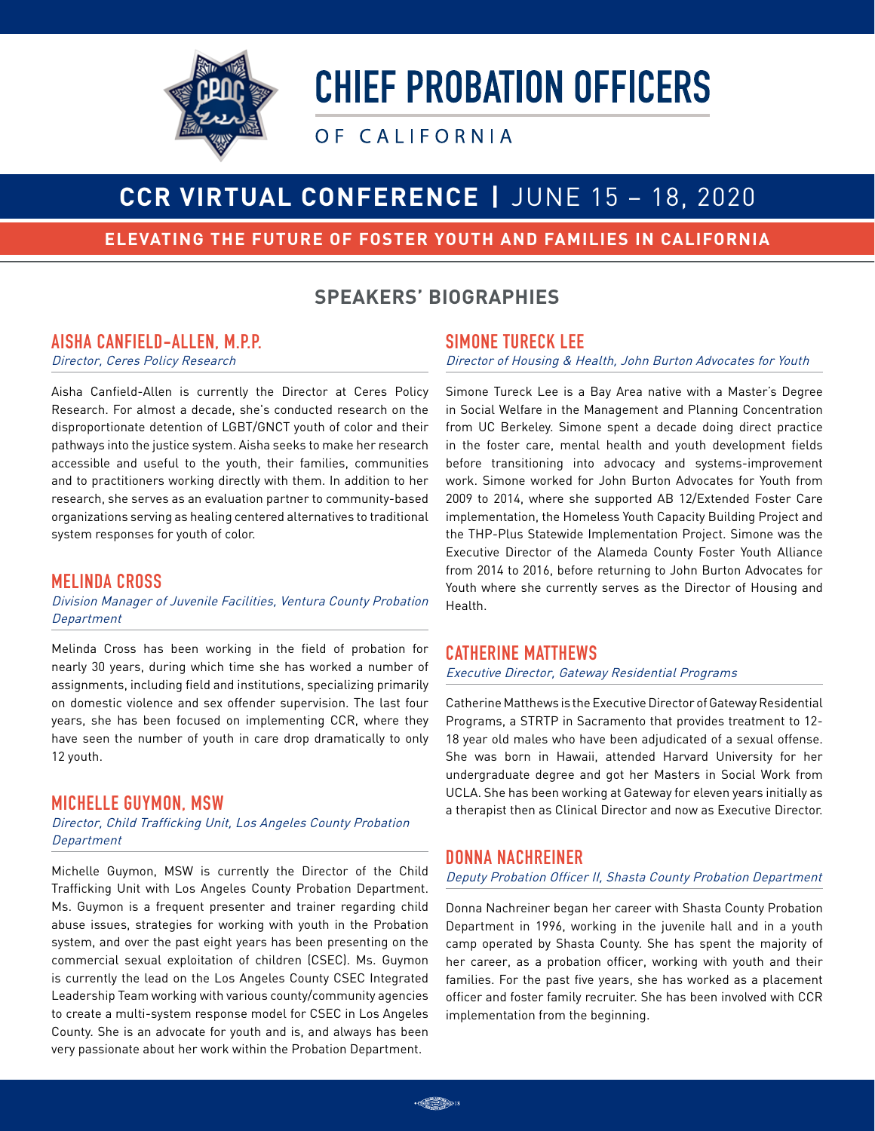

OF CALIFORNIA

# **CCR VIRTUAL CONFERENCE |** JUNE 15 – 18, 2020

## **ELEVATING THE FUTURE OF FOSTER YOUTH AND FAMILIES IN CALIFORNIA**

# **SPEAKERS' BIOGRAPHIES**

### **AISHA CANFIELD-ALLEN, M.P.P.**

Director, Ceres Policy Research

Aisha Canfield-Allen is currently the Director at Ceres Policy Research. For almost a decade, she's conducted research on the disproportionate detention of LGBT/GNCT youth of color and their pathways into the justice system. Aisha seeks to make her research accessible and useful to the youth, their families, communities and to practitioners working directly with them. In addition to her research, she serves as an evaluation partner to community-based organizations serving as healing centered alternatives to traditional system responses for youth of color.

#### **MELINDA CROSS**

Division Manager of Juvenile Facilities, Ventura County Probation **Department** 

Melinda Cross has been working in the field of probation for nearly 30 years, during which time she has worked a number of assignments, including field and institutions, specializing primarily on domestic violence and sex offender supervision. The last four years, she has been focused on implementing CCR, where they have seen the number of youth in care drop dramatically to only 12 youth.

#### **MICHELLE GUYMON, MSW**

Director, Child Trafficking Unit, Los Angeles County Probation **Department** 

Michelle Guymon, MSW is currently the Director of the Child Trafficking Unit with Los Angeles County Probation Department. Ms. Guymon is a frequent presenter and trainer regarding child abuse issues, strategies for working with youth in the Probation system, and over the past eight years has been presenting on the commercial sexual exploitation of children (CSEC). Ms. Guymon is currently the lead on the Los Angeles County CSEC Integrated Leadership Team working with various county/community agencies to create a multi-system response model for CSEC in Los Angeles County. She is an advocate for youth and is, and always has been very passionate about her work within the Probation Department.

#### **SIMONE TURECK LEE**

Director of Housing & Health, John Burton Advocates for Youth

Simone Tureck Lee is a Bay Area native with a Master's Degree in Social Welfare in the Management and Planning Concentration from UC Berkeley. Simone spent a decade doing direct practice in the foster care, mental health and youth development fields before transitioning into advocacy and systems-improvement work. Simone worked for John Burton Advocates for Youth from 2009 to 2014, where she supported AB 12/Extended Foster Care implementation, the Homeless Youth Capacity Building Project and the THP-Plus Statewide Implementation Project. Simone was the Executive Director of the Alameda County Foster Youth Alliance from 2014 to 2016, before returning to John Burton Advocates for Youth where she currently serves as the Director of Housing and Health.

#### **CATHERINE MATTHEWS**

Executive Director, Gateway Residential Programs

Catherine Matthews is the Executive Director of Gateway Residential Programs, a STRTP in Sacramento that provides treatment to 12- 18 year old males who have been adjudicated of a sexual offense. She was born in Hawaii, attended Harvard University for her undergraduate degree and got her Masters in Social Work from UCLA. She has been working at Gateway for eleven years initially as a therapist then as Clinical Director and now as Executive Director.

#### **DONNA NACHREINER**

#### Deputy Probation Officer II, Shasta County Probation Department

Donna Nachreiner began her career with Shasta County Probation Department in 1996, working in the juvenile hall and in a youth camp operated by Shasta County. She has spent the majority of her career, as a probation officer, working with youth and their families. For the past five years, she has worked as a placement officer and foster family recruiter. She has been involved with CCR implementation from the beginning.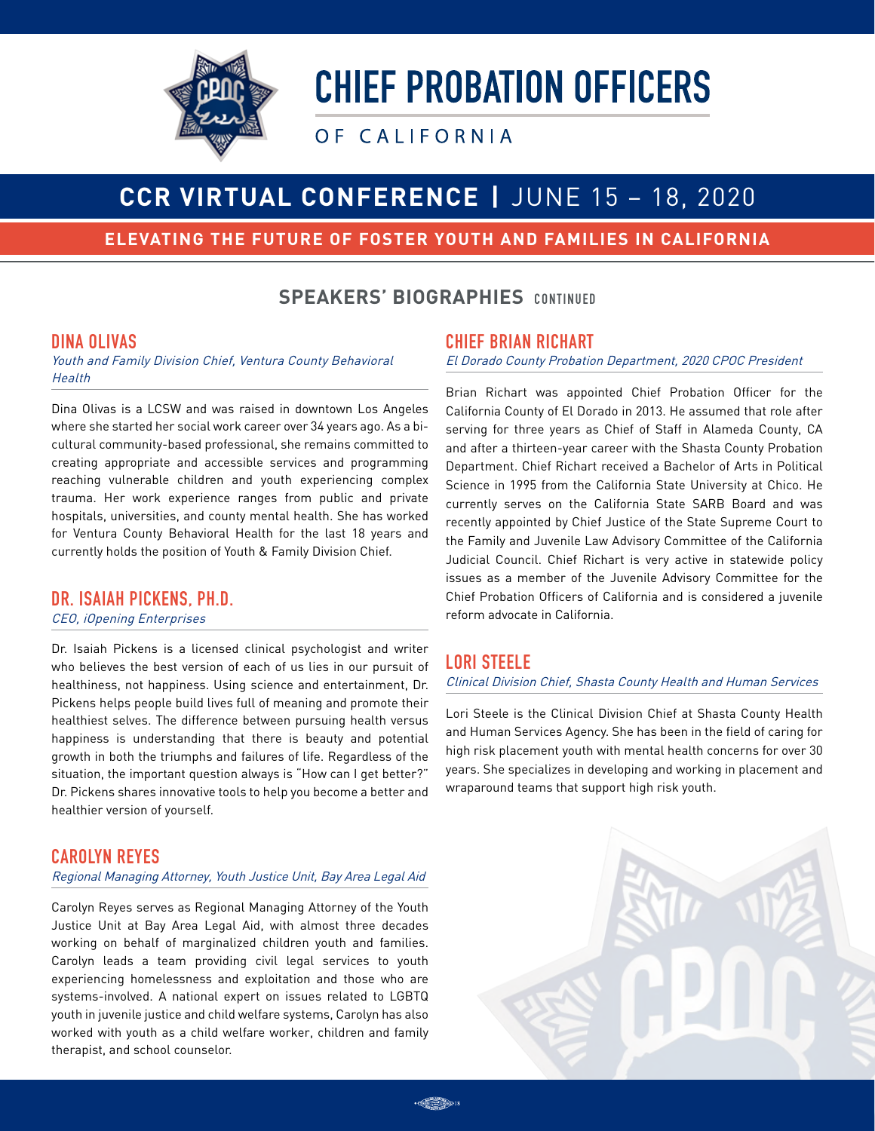

OF CALIFORNIA

# **CCR VIRTUAL CONFERENCE |** JUNE 15 – 18, 2020

## **ELEVATING THE FUTURE OF FOSTER YOUTH AND FAMILIES IN CALIFORNIA**

# **SPEAKERS' BIOGRAPHIES** CONTINUED

#### **DINA OLIVAS**

Youth and Family Division Chief, Ventura County Behavioral **Health** 

Dina Olivas is a LCSW and was raised in downtown Los Angeles where she started her social work career over 34 years ago. As a bicultural community-based professional, she remains committed to creating appropriate and accessible services and programming reaching vulnerable children and youth experiencing complex trauma. Her work experience ranges from public and private hospitals, universities, and county mental health. She has worked for Ventura County Behavioral Health for the last 18 years and currently holds the position of Youth & Family Division Chief.

## **DR. ISAIAH PICKENS, PH.D.**

#### CEO, iOpening Enterprises

Dr. Isaiah Pickens is a licensed clinical psychologist and writer who believes the best version of each of us lies in our pursuit of healthiness, not happiness. Using science and entertainment, Dr. Pickens helps people build lives full of meaning and promote their healthiest selves. The difference between pursuing health versus happiness is understanding that there is beauty and potential growth in both the triumphs and failures of life. Regardless of the situation, the important question always is "How can I get better?" Dr. Pickens shares innovative tools to help you become a better and healthier version of yourself.

## **CAROLYN REYES**

#### Regional Managing Attorney, Youth Justice Unit, Bay Area Legal Aid

Carolyn Reyes serves as Regional Managing Attorney of the Youth Justice Unit at Bay Area Legal Aid, with almost three decades working on behalf of marginalized children youth and families. Carolyn leads a team providing civil legal services to youth experiencing homelessness and exploitation and those who are systems-involved. A national expert on issues related to LGBTQ youth in juvenile justice and child welfare systems, Carolyn has also worked with youth as a child welfare worker, children and family therapist, and school counselor.

### **CHIEF BRIAN RICHART**

El Dorado County Probation Department, 2020 CPOC President

Brian Richart was appointed Chief Probation Officer for the California County of El Dorado in 2013. He assumed that role after serving for three years as Chief of Staff in Alameda County, CA and after a thirteen-year career with the Shasta County Probation Department. Chief Richart received a Bachelor of Arts in Political Science in 1995 from the California State University at Chico. He currently serves on the California State SARB Board and was recently appointed by Chief Justice of the State Supreme Court to the Family and Juvenile Law Advisory Committee of the California Judicial Council. Chief Richart is very active in statewide policy issues as a member of the Juvenile Advisory Committee for the Chief Probation Officers of California and is considered a juvenile reform advocate in California.

## **LORI STEELE**

#### Clinical Division Chief, Shasta County Health and Human Services

Lori Steele is the Clinical Division Chief at Shasta County Health and Human Services Agency. She has been in the field of caring for high risk placement youth with mental health concerns for over 30 years. She specializes in developing and working in placement and wraparound teams that support high risk youth.